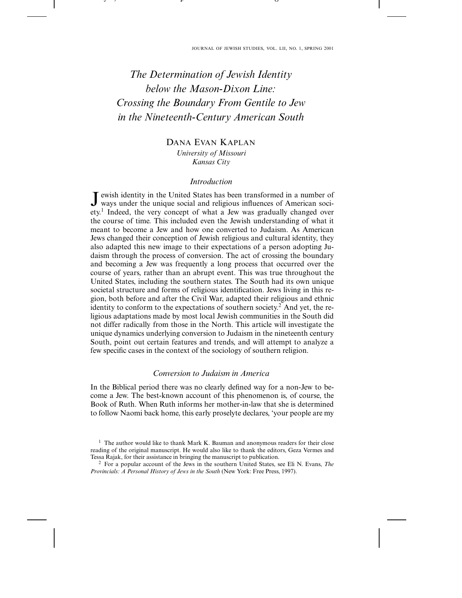- - - - - - - - - - - - -

 

-

# *The Determination of Jewish Identity below the Mason-Dixon Line: Crossing the Boundary From Gentile to Jew in the Nineteenth-Century American South*

---- , - , - - - - - - - - -

the contract of the contract of the contract of the contract of the contract of the contract of the contract of

# DANA EVAN KAPLAN *University of Missouri Kansas City*

## *Introduction*

ewish identity in the United States has been transformed in a number of ways under the unique social and religious influences of American society.1 Indeed, the very concept of what a Jew was gradually changed over the course of time. This included even the Jewish understanding of what it meant to become a Jew and how one converted to Judaism. As American Jews changed their conception of Jewish religious and cultural identity, they also adapted this new image to their expectations of a person adopting Judaism through the process of conversion. The act of crossing the boundary and becoming a Jew was frequently a long process that occurred over the course of years, rather than an abrupt event. This was true throughout the United States, including the southern states. The South had its own unique societal structure and forms of religious identification. Jews living in this region, both before and after the Civil War, adapted their religious and ethnic identity to conform to the expectations of southern society.<sup>2</sup> And yet, the religious adaptations made by most local Jewish communities in the South did not differ radically from those in the North. This article will investigate the unique dynamics underlying conversion to Judaism in the nineteenth century South, point out certain features and trends, and will attempt to analyze a few specific cases in the context of the sociology of southern religion.

# *Conversion to Judaism in America*

In the Biblical period there was no clearly defined way for a non-Jew to become a Jew. The best-known account of this phenomenon is, of course, the Book of Ruth. When Ruth informs her mother-in-law that she is determined to follow Naomi back home, this early proselyte declares, 'your people are my

<sup>&</sup>lt;sup>1</sup> The author would like to thank Mark K. Bauman and anonymous readers for their close reading of the original manuscript. He would also like to thank the editors, Geza Vermes and Tessa Rajak, for their assistance in bringing the manuscript to publication.

<sup>2</sup> For a popular account of the Jews in the southern United States, see Eli N. Evans, *The Provincials: A Personal History of Jews in the South* (New York: Free Press, 1997).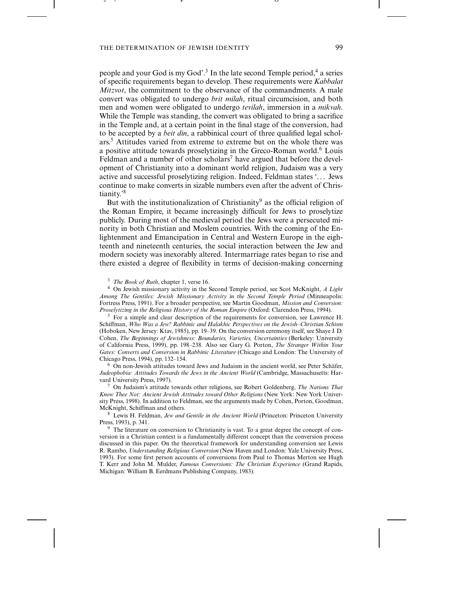the contract of the contract of the contract of the contract of the contract of the contract of the contract of

---- , - , - - - - - - - - -

people and your God is my God'.<sup>3</sup> In the late second Temple period,<sup>4</sup> a series of specific requirements began to develop. These requirements were *Kabbalat Mitzvot*, the commitment to the observance of the commandments. A male convert was obligated to undergo *brit milah*, ritual circumcision, and both men and women were obligated to undergo *tevilah*, immersion in a *mikvah*. While the Temple was standing, the convert was obligated to bring a sacrifice in the Temple and, at a certain point in the final stage of the conversion, had to be accepted by a *beit din*, a rabbinical court of three qualified legal scholars.5 Attitudes varied from extreme to extreme but on the whole there was a positive attitude towards proselytizing in the Greco-Roman world.6 Louis Feldman and a number of other scholars<sup>7</sup> have argued that before the development of Christianity into a dominant world religion, Judaism was a very active and successful proselytizing religion. Indeed, Feldman states '. . . Jews continue to make converts in sizable numbers even after the advent of Christianity.'8

-

-

But with the institutionalization of Christianity<sup>9</sup> as the official religion of the Roman Empire, it became increasingly difficult for Jews to proselytize publicly. During most of the medieval period the Jews were a persecuted minority in both Christian and Moslem countries. With the coming of the Enlightenment and Emancipation in Central and Western Europe in the eighteenth and nineteenth centuries, the social interaction between the Jew and modern society was inexorably altered. Intermarriage rates began to rise and there existed a degree of flexibility in terms of decision-making concerning

<sup>3</sup> *The Book of Ruth*, chapter 1, verse 16.

<sup>4</sup> On Jewish missionary activity in the Second Temple period, see Scot McKnight, *A Light Among The Gentiles: Jewish Missionary Activity in the Second Temple Period* (Minneapolis: Fortress Press, 1991). For a broader perspective, see Martin Goodman, *Mission and Conversion: Proselytizing in the Religious History of the Roman Empire* (Oxford: Clarendon Press, 1994).

 $<sup>5</sup>$  For a simple and clear description of the requirements for conversion, see Lawrence H.</sup> Schiffman, *Who Was a Jew? Rabbinic and Halakhic Perspectives on the Jewish–Christian Schism* (Hoboken, New Jersey: Ktav, 1985), pp. 19–39. On the conversion ceremony itself, see Shaye J. D. Cohen, *The Beginnings of Jewishness: Boundaries, Varieties, Uncertainties* (Berkeley: University of California Press, 1999), pp. 198–238. Also see Gary G. Porton, *The Stranger Within Your Gates: Converts and Conversion in Rabbinic Literature* (Chicago and London: The University of Chicago Press, 1994), pp. 132–154.

<sup>6</sup> On non-Jewish attitudes toward Jews and Judaism in the ancient world, see Peter Schäfer, *Judeophobia: Attitudes Towards the Jews in the Ancient World* (Cambridge, Massachusetts: Harvard University Press, 1997).

<sup>7</sup> On Judaism's attitude towards other religions, see Robert Goldenberg, *The Nations That Know Thee Not: Ancient Jewish Attitudes toward Other Religions* (New York: New York University Press, 1998). In addition to Feldman, see the arguments made by Cohen, Porton, Goodman, McKnight, Schiffman and others.

<sup>8</sup> Lewis H. Feldman, *Jew and Gentile in the Ancient World* (Princeton: Princeton University Press, 1993), p. 341.

<sup>9</sup> The literature on conversion to Christianity is vast. To a great degree the concept of conversion in a Christian context is a fundamentally different concept than the conversion process discussed in this paper. On the theoretical framework for understanding conversion see Lewis R. Rambo, *Understanding Religious Conversion* (New Haven and London: Yale University Press, 1993). For some first person accounts of conversions from Paul to Thomas Merton see Hugh T. Kerr and John M. Mulder, *Famous Conversions: The Christian Experience* (Grand Rapids, Michigan: William B. Eerdmans Publishing Company, 1983).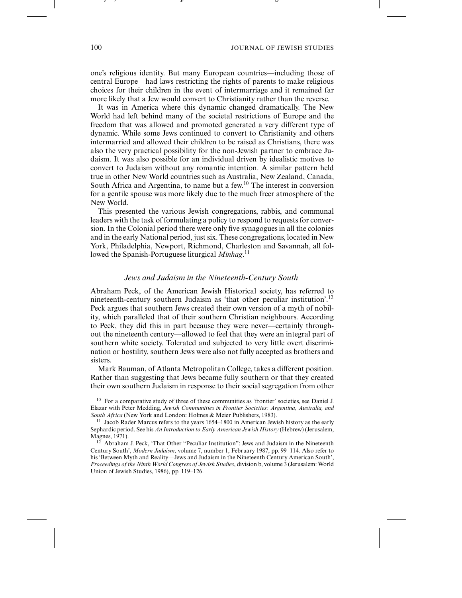-

one's religious identity. But many European countries—including those of central Europe—had laws restricting the rights of parents to make religious choices for their children in the event of intermarriage and it remained far more likely that a Jew would convert to Christianity rather than the reverse.

-

It was in America where this dynamic changed dramatically. The New World had left behind many of the societal restrictions of Europe and the freedom that was allowed and promoted generated a very different type of dynamic. While some Jews continued to convert to Christianity and others intermarried and allowed their children to be raised as Christians, there was also the very practical possibility for the non-Jewish partner to embrace Judaism. It was also possible for an individual driven by idealistic motives to convert to Judaism without any romantic intention. A similar pattern held true in other New World countries such as Australia, New Zealand, Canada, South Africa and Argentina, to name but a few.<sup>10</sup> The interest in conversion for a gentile spouse was more likely due to the much freer atmosphere of the New World.

This presented the various Jewish congregations, rabbis, and communal leaders with the task of formulating a policy to respond to requests for conversion. In the Colonial period there were only five synagogues in all the colonies and in the early National period, just six. These congregations, located in New York, Philadelphia, Newport, Richmond, Charleston and Savannah, all followed the Spanish-Portuguese liturgical *Minhag*. 11

#### *Jews and Judaism in the Nineteenth-Century South*

Abraham Peck, of the American Jewish Historical society, has referred to nineteenth-century southern Judaism as 'that other peculiar institution'.<sup>12</sup> Peck argues that southern Jews created their own version of a myth of nobility, which paralleled that of their southern Christian neighbours. According to Peck, they did this in part because they were never—certainly throughout the nineteenth century—allowed to feel that they were an integral part of southern white society. Tolerated and subjected to very little overt discrimination or hostility, southern Jews were also not fully accepted as brothers and sisters.

Mark Bauman, of Atlanta Metropolitan College, takes a different position. Rather than suggesting that Jews became fully southern or that they created their own southern Judaism in response to their social segregation from other

<sup>10</sup> For a comparative study of three of these communities as 'frontier' societies, see Daniel J. Elazar with Peter Medding, *Jewish Communities in Frontier Societies: Argentina, Australia, and South Africa* (New York and London: Holmes & Meier Publishers, 1983).

<sup>11</sup> Jacob Rader Marcus refers to the years 1654–1800 in American Jewish history as the early Sephardic period. See his *An Introduction to Early American Jewish History* (Hebrew) (Jerusalem, Magnes, 1971).

 $12$  Abraham J. Peck, 'That Other "Peculiar Institution": Jews and Judaism in the Nineteenth Century South', *Modern Judaism*, volume 7, number 1, February 1987, pp. 99–114. Also refer to his 'Between Myth and Reality—Jews and Judaism in the Nineteenth Century American South', *Proceedings of the Ninth World Congress of Jewish Studies*, division b, volume 3 (Jerusalem: World Union of Jewish Studies, 1986), pp. 119–126.

---- , - , - - - - - - - - -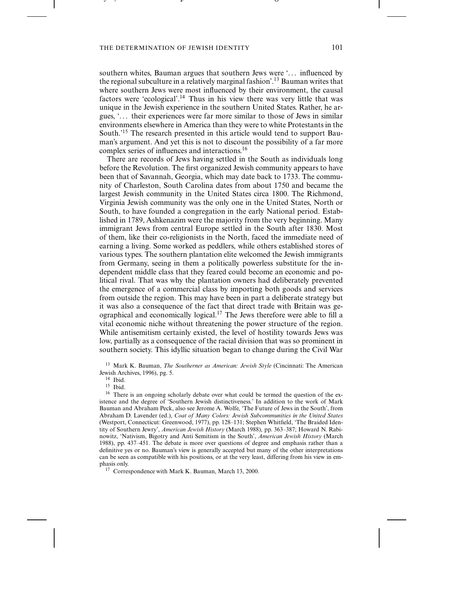the contract of the contract of the contract of the contract of the contract of the contract of the contract of

---- , - , - - - - - - - - -

southern whites, Bauman argues that southern Jews were '... influenced by the regional subculture in a relatively marginal fashion'.13 Bauman writes that where southern Jews were most influenced by their environment, the causal factors were 'ecological'.14 Thus in his view there was very little that was unique in the Jewish experience in the southern United States. Rather, he argues, '. . . their experiences were far more similar to those of Jews in similar environments elsewhere in America than they were to white Protestants in the South.'15 The research presented in this article would tend to support Bauman's argument. And yet this is not to discount the possibility of a far more complex series of influences and interactions.16

-

-

There are records of Jews having settled in the South as individuals long before the Revolution. The first organized Jewish community appears to have been that of Savannah, Georgia, which may date back to 1733. The community of Charleston, South Carolina dates from about 1750 and became the largest Jewish community in the United States circa 1800. The Richmond, Virginia Jewish community was the only one in the United States, North or South, to have founded a congregation in the early National period. Established in 1789, Ashkenazim were the majority from the very beginning. Many immigrant Jews from central Europe settled in the South after 1830. Most of them, like their co-religionists in the North, faced the immediate need of earning a living. Some worked as peddlers, while others established stores of various types. The southern plantation elite welcomed the Jewish immigrants from Germany, seeing in them a politically powerless substitute for the independent middle class that they feared could become an economic and political rival. That was why the plantation owners had deliberately prevented the emergence of a commercial class by importing both goods and services from outside the region. This may have been in part a deliberate strategy but it was also a consequence of the fact that direct trade with Britain was geographical and economically logical.17 The Jews therefore were able to fill a vital economic niche without threatening the power structure of the region. While antisemitism certainly existed, the level of hostility towards Jews was low, partially as a consequence of the racial division that was so prominent in southern society. This idyllic situation began to change during the Civil War

<sup>17</sup> Correspondence with Mark K. Bauman, March 13, 2000.

<sup>13</sup> Mark K. Bauman, *The Southerner as American: Jewish Style* (Cincinnati: The American Jewish Archives, 1996), pg. 5.

 $^{14}\,$  Ibid.

<sup>15</sup> Ibid.

<sup>&</sup>lt;sup>16</sup> There is an ongoing scholarly debate over what could be termed the question of the existence and the degree of 'Southern Jewish distinctiveness.' In addition to the work of Mark Bauman and Abraham Peck, also see Jerome A. Wolfe, 'The Future of Jews in the South', from Abraham D. Lavender (ed.), *Coat of Many Colors: Jewish Subcommunities in the United States* (Westport, Connecticut: Greenwood, 1977), pp. 128–131; Stephen Whitfield, 'The Braided Identity of Southern Jewry', *American Jewish History* (March 1988), pp. 363–387; Howard N. Rabinowitz, 'Nativism, Bigotry and Anti Semitism in the South', *American Jewish History* (March 1988), pp. 437–451. The debate is more over questions of degree and emphasis rather than a definitive yes or no. Bauman's view is generally accepted but many of the other interpretations can be seen as compatible with his positions, or at the very least, differing from his view in emphasis only.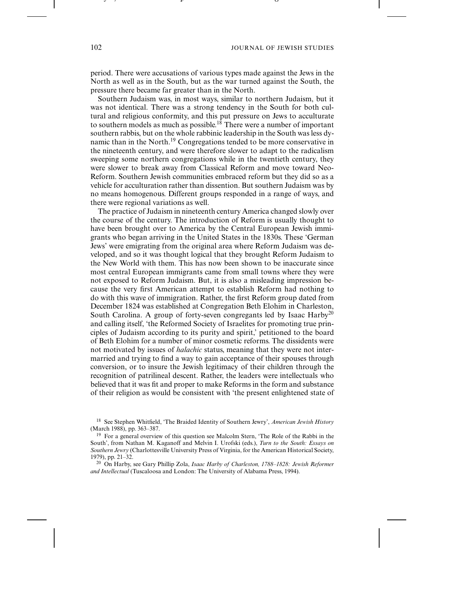-

period. There were accusations of various types made against the Jews in the North as well as in the South, but as the war turned against the South, the pressure there became far greater than in the North.

-

Southern Judaism was, in most ways, similar to northern Judaism, but it was not identical. There was a strong tendency in the South for both cultural and religious conformity, and this put pressure on Jews to acculturate to southern models as much as possible.<sup>18</sup> There were a number of important southern rabbis, but on the whole rabbinic leadership in the South was less dynamic than in the North.<sup>19</sup> Congregations tended to be more conservative in the nineteenth century, and were therefore slower to adapt to the radicalism sweeping some northern congregations while in the twentieth century, they were slower to break away from Classical Reform and move toward Neo-Reform. Southern Jewish communities embraced reform but they did so as a vehicle for acculturation rather than dissention. But southern Judaism was by no means homogenous. Different groups responded in a range of ways, and there were regional variations as well.

The practice of Judaism in nineteenth century America changed slowly over the course of the century. The introduction of Reform is usually thought to have been brought over to America by the Central European Jewish immigrants who began arriving in the United States in the 1830s. These 'German Jews' were emigrating from the original area where Reform Judaism was developed, and so it was thought logical that they brought Reform Judaism to the New World with them. This has now been shown to be inaccurate since most central European immigrants came from small towns where they were not exposed to Reform Judaism. But, it is also a misleading impression because the very first American attempt to establish Reform had nothing to do with this wave of immigration. Rather, the first Reform group dated from December 1824 was established at Congregation Beth Elohim in Charleston, South Carolina. A group of forty-seven congregants led by Isaac Harby<sup>20</sup> and calling itself, 'the Reformed Society of Israelites for promoting true principles of Judaism according to its purity and spirit,' petitioned to the board of Beth Elohim for a number of minor cosmetic reforms. The dissidents were not motivated by issues of *halachic* status, meaning that they were not intermarried and trying to find a way to gain acceptance of their spouses through conversion, or to insure the Jewish legitimacy of their children through the recognition of patrilineal descent. Rather, the leaders were intellectuals who believed that it was fit and proper to make Reforms in the form and substance of their religion as would be consistent with 'the present enlightened state of

---- , - , - - - - - - - - -

<sup>18</sup> See Stephen Whitfield, 'The Braided Identity of Southern Jewry', *American Jewish History* (March 1988), pp. 363–387.

<sup>&</sup>lt;sup>19</sup> For a general overview of this question see Malcolm Stern, 'The Role of the Rabbi in the South', from Nathan M. Kaganoff and Melvin I. Urofski (eds.), *Turn to the South: Essays on Southern Jewry* (Charlottesville University Press of Virginia, for the American Historical Society, 1979), pp. 21–32.

<sup>20</sup> On Harby, see Gary Phillip Zola, *Isaac Harby of Charleston, 1788–1828: Jewish Reformer and Intellectual* (Tuscaloosa and London: The University of Alabama Press, 1994).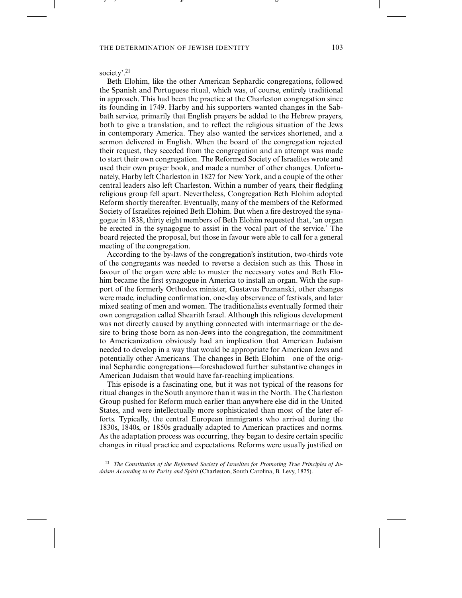the contract of the contract of the contract of the contract of the contract of the contract of the contract of

# society'.<sup>21</sup>

---- , - , - - - - - - - - -

Beth Elohim, like the other American Sephardic congregations, followed the Spanish and Portuguese ritual, which was, of course, entirely traditional in approach. This had been the practice at the Charleston congregation since its founding in 1749. Harby and his supporters wanted changes in the Sabbath service, primarily that English prayers be added to the Hebrew prayers, both to give a translation, and to reflect the religious situation of the Jews in contemporary America. They also wanted the services shortened, and a sermon delivered in English. When the board of the congregation rejected their request, they seceded from the congregation and an attempt was made to start their own congregation. The Reformed Society of Israelites wrote and used their own prayer book, and made a number of other changes. Unfortunately, Harby left Charleston in 1827 for New York, and a couple of the other central leaders also left Charleston. Within a number of years, their fledgling religious group fell apart. Nevertheless, Congregation Beth Elohim adopted Reform shortly thereafter. Eventually, many of the members of the Reformed Society of Israelites rejoined Beth Elohim. But when a fire destroyed the synagogue in 1838, thirty eight members of Beth Elohim requested that, 'an organ be erected in the synagogue to assist in the vocal part of the service.' The board rejected the proposal, but those in favour were able to call for a general meeting of the congregation.

-

-

According to the by-laws of the congregation's institution, two-thirds vote of the congregants was needed to reverse a decision such as this. Those in favour of the organ were able to muster the necessary votes and Beth Elohim became the first synagogue in America to install an organ. With the support of the formerly Orthodox minister, Gustavus Poznanski, other changes were made, including confirmation, one-day observance of festivals, and later mixed seating of men and women. The traditionalists eventually formed their own congregation called Shearith Israel. Although this religious development was not directly caused by anything connected with intermarriage or the desire to bring those born as non-Jews into the congregation, the commitment to Americanization obviously had an implication that American Judaism needed to develop in a way that would be appropriate for American Jews and potentially other Americans. The changes in Beth Elohim—one of the original Sephardic congregations—foreshadowed further substantive changes in American Judaism that would have far-reaching implications.

This episode is a fascinating one, but it was not typical of the reasons for ritual changes in the South anymore than it was in the North. The Charleston Group pushed for Reform much earlier than anywhere else did in the United States, and were intellectually more sophisticated than most of the later efforts. Typically, the central European immigrants who arrived during the 1830s, 1840s, or 1850s gradually adapted to American practices and norms. As the adaptation process was occurring, they began to desire certain specific changes in ritual practice and expectations. Reforms were usually justified on

<sup>21</sup> *The Constitution of the Reformed Society of Israelites for Promoting True Principles of Judaism According to its Purity and Spirit* (Charleston, South Carolina, B. Levy, 1825).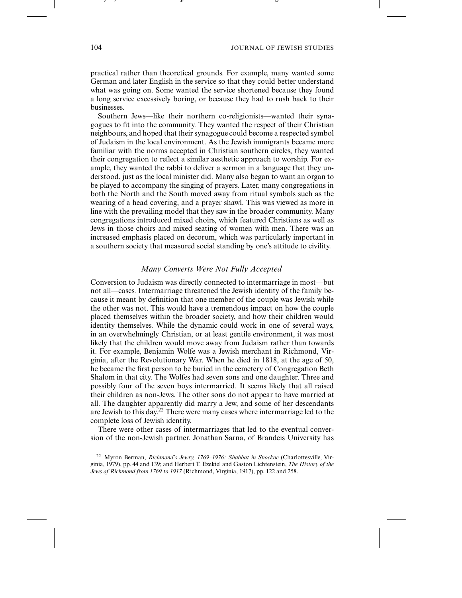-

practical rather than theoretical grounds. For example, many wanted some German and later English in the service so that they could better understand what was going on. Some wanted the service shortened because they found a long service excessively boring, or because they had to rush back to their businesses.

-

Southern Jews—like their northern co-religionists—wanted their synagogues to fit into the community. They wanted the respect of their Christian neighbours, and hoped that their synagogue could become a respected symbol of Judaism in the local environment. As the Jewish immigrants became more familiar with the norms accepted in Christian southern circles, they wanted their congregation to reflect a similar aesthetic approach to worship. For example, they wanted the rabbi to deliver a sermon in a language that they understood, just as the local minister did. Many also began to want an organ to be played to accompany the singing of prayers. Later, many congregations in both the North and the South moved away from ritual symbols such as the wearing of a head covering, and a prayer shawl. This was viewed as more in line with the prevailing model that they saw in the broader community. Many congregations introduced mixed choirs, which featured Christians as well as Jews in those choirs and mixed seating of women with men. There was an increased emphasis placed on decorum, which was particularly important in a southern society that measured social standing by one's attitude to civility.

#### *Many Converts Were Not Fully Accepted*

Conversion to Judaism was directly connected to intermarriage in most—but not all—cases. Intermarriage threatened the Jewish identity of the family because it meant by definition that one member of the couple was Jewish while the other was not. This would have a tremendous impact on how the couple placed themselves within the broader society, and how their children would identity themselves. While the dynamic could work in one of several ways, in an overwhelmingly Christian, or at least gentile environment, it was most likely that the children would move away from Judaism rather than towards it. For example, Benjamin Wolfe was a Jewish merchant in Richmond, Virginia, after the Revolutionary War. When he died in 1818, at the age of 50, he became the first person to be buried in the cemetery of Congregation Beth Shalom in that city. The Wolfes had seven sons and one daughter. Three and possibly four of the seven boys intermarried. It seems likely that all raised their children as non-Jews. The other sons do not appear to have married at all. The daughter apparently did marry a Jew, and some of her descendants are Jewish to this day.22 There were many cases where intermarriage led to the complete loss of Jewish identity.

There were other cases of intermarriages that led to the eventual conversion of the non-Jewish partner. Jonathan Sarna, of Brandeis University has

---- , - , - - - - - - - - -

<sup>22</sup> Myron Berman, *Richmond's Jewry, 1769–1976: Shabbat in Shockoe* (Charlottesville, Virginia, 1979), pp. 44 and 139; and Herbert T. Ezekiel and Gaston Lichtenstein, *The History of the Jews of Richmond from 1769 to 1917* (Richmond, Virginia, 1917), pp. 122 and 258.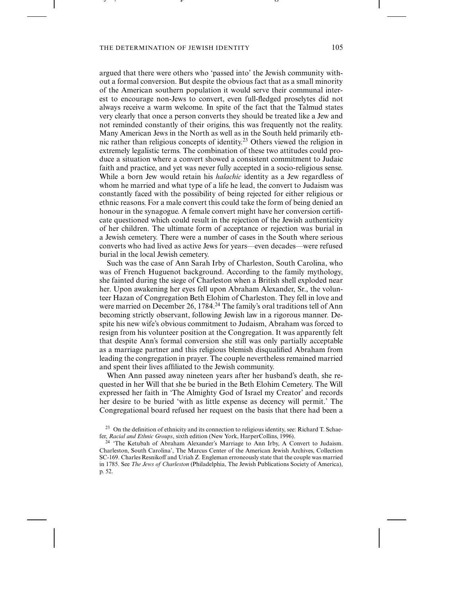the contract of the contract of the contract of the contract of the contract of the contract of the contract of

---- , - , - - - - - - - - -

argued that there were others who 'passed into' the Jewish community without a formal conversion. But despite the obvious fact that as a small minority of the American southern population it would serve their communal interest to encourage non-Jews to convert, even full-fledged proselytes did not always receive a warm welcome. In spite of the fact that the Talmud states very clearly that once a person converts they should be treated like a Jew and not reminded constantly of their origins, this was frequently not the reality. Many American Jews in the North as well as in the South held primarily ethnic rather than religious concepts of identity.<sup>23</sup> Others viewed the religion in extremely legalistic terms. The combination of these two attitudes could produce a situation where a convert showed a consistent commitment to Judaic faith and practice, and yet was never fully accepted in a socio-religious sense. While a born Jew would retain his *halachic* identity as a Jew regardless of whom he married and what type of a life he lead, the convert to Judaism was constantly faced with the possibility of being rejected for either religious or ethnic reasons. For a male convert this could take the form of being denied an honour in the synagogue. A female convert might have her conversion certificate questioned which could result in the rejection of the Jewish authenticity of her children. The ultimate form of acceptance or rejection was burial in a Jewish cemetery. There were a number of cases in the South where serious converts who had lived as active Jews for years—even decades—were refused burial in the local Jewish cemetery.

-

 -

Such was the case of Ann Sarah Irby of Charleston, South Carolina, who was of French Huguenot background. According to the family mythology, she fainted during the siege of Charleston when a British shell exploded near her. Upon awakening her eyes fell upon Abraham Alexander, Sr., the volunteer Hazan of Congregation Beth Elohim of Charleston. They fell in love and were married on December 26, 1784.<sup>24</sup> The family's oral traditions tell of Ann becoming strictly observant, following Jewish law in a rigorous manner. Despite his new wife's obvious commitment to Judaism, Abraham was forced to resign from his volunteer position at the Congregation. It was apparently felt that despite Ann's formal conversion she still was only partially acceptable as a marriage partner and this religious blemish disqualified Abraham from leading the congregation in prayer. The couple nevertheless remained married and spent their lives affiliated to the Jewish community.

When Ann passed away nineteen years after her husband's death, she requested in her Will that she be buried in the Beth Elohim Cemetery. The Will expressed her faith in 'The Almighty God of Israel my Creator' and records her desire to be buried 'with as little expense as decency will permit.' The Congregational board refused her request on the basis that there had been a

<sup>&</sup>lt;sup>23</sup> On the definition of ethnicity and its connection to religious identity, see: Richard T. Schaefer, *Racial and Ethnic Groups*, sixth edition (New York, HarperCollins, 1996).

<sup>&</sup>lt;sup>24</sup> 'The Ketubah of Abraham Alexander's Marriage to Ann Irby, A Convert to Judaism. Charleston, South Carolina', The Marcus Center of the American Jewish Archives, Collection SC-169. Charles Resnikoff and Uriah Z. Engleman erroneously state that the couple was married in 1785. See *The Jews of Charleston* (Philadelphia, The Jewish Publications Society of America), p. 52.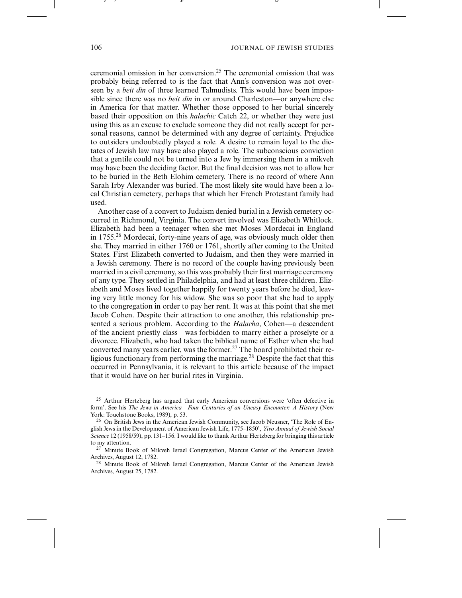-

ceremonial omission in her conversion.25 The ceremonial omission that was probably being referred to is the fact that Ann's conversion was not overseen by a *beit din* of three learned Talmudists. This would have been impossible since there was no *beit din* in or around Charleston—or anywhere else in America for that matter. Whether those opposed to her burial sincerely based their opposition on this *halachic* Catch 22, or whether they were just using this as an excuse to exclude someone they did not really accept for personal reasons, cannot be determined with any degree of certainty. Prejudice to outsiders undoubtedly played a role. A desire to remain loyal to the dictates of Jewish law may have also played a role. The subconscious conviction that a gentile could not be turned into a Jew by immersing them in a mikveh may have been the deciding factor. But the final decision was not to allow her to be buried in the Beth Elohim cemetery. There is no record of where Ann Sarah Irby Alexander was buried. The most likely site would have been a local Christian cemetery, perhaps that which her French Protestant family had used.

-

Another case of a convert to Judaism denied burial in a Jewish cemetery occurred in Richmond, Virginia. The convert involved was Elizabeth Whitlock. Elizabeth had been a teenager when she met Moses Mordecai in England in 1755.26 Mordecai, forty-nine years of age, was obviously much older then she. They married in either 1760 or 1761, shortly after coming to the United States. First Elizabeth converted to Judaism, and then they were married in a Jewish ceremony. There is no record of the couple having previously been married in a civil ceremony, so this was probably their first marriage ceremony of any type. They settled in Philadelphia, and had at least three children. Elizabeth and Moses lived together happily for twenty years before he died, leaving very little money for his widow. She was so poor that she had to apply to the congregation in order to pay her rent. It was at this point that she met Jacob Cohen. Despite their attraction to one another, this relationship presented a serious problem. According to the *Halacha*, Cohen—a descendent of the ancient priestly class—was forbidden to marry either a proselyte or a divorcee. Elizabeth, who had taken the biblical name of Esther when she had converted many years earlier, was the former.<sup>27</sup> The board prohibited their religious functionary from performing the marriage.<sup>28</sup> Despite the fact that this occurred in Pennsylvania, it is relevant to this article because of the impact that it would have on her burial rites in Virginia.

---- , - , - - - - - - - - -

<sup>&</sup>lt;sup>25</sup> Arthur Hertzberg has argued that early American conversions were 'often defective in form'. See his *The Jews in America—Four Centuries of an Uneasy Encounter: A History* (New York: Touchstone Books, 1989), p. 53.

<sup>26</sup> On British Jews in the American Jewish Community, see Jacob Neusner, 'The Role of English Jews in the Development of American Jewish Life, 1775–1850', *Yivo Annual of Jewish Social Science* 12 (1958/59), pp. 131–156. I would like to thank Arthur Hertzberg for bringing this article to my attention.

 $27$  Minute Book of Mikveh Israel Congregation, Marcus Center of the American Jewish Archives, August 12, 1782.

<sup>&</sup>lt;sup>28</sup> Minute Book of Mikveh Israel Congregation, Marcus Center of the American Jewish Archives, August 25, 1782.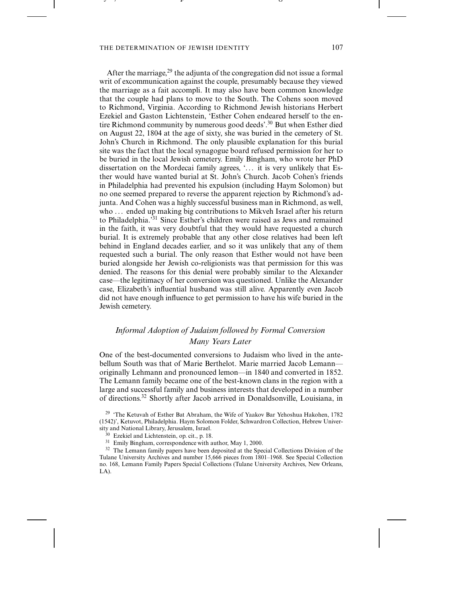the contract of the contract of the contract of the contract of the contract of the contract of the contract of

---- , - , - - - - - - - - -

After the marriage,  $^{29}$  the adjunta of the congregation did not issue a formal writ of excommunication against the couple, presumably because they viewed the marriage as a fait accompli. It may also have been common knowledge that the couple had plans to move to the South. The Cohens soon moved to Richmond, Virginia. According to Richmond Jewish historians Herbert Ezekiel and Gaston Lichtenstein, 'Esther Cohen endeared herself to the entire Richmond community by numerous good deeds'.30 But when Esther died on August 22, 1804 at the age of sixty, she was buried in the cemetery of St. John's Church in Richmond. The only plausible explanation for this burial site was the fact that the local synagogue board refused permission for her to be buried in the local Jewish cemetery. Emily Bingham, who wrote her PhD dissertation on the Mordecai family agrees, '... it is very unlikely that Esther would have wanted burial at St. John's Church. Jacob Cohen's friends in Philadelphia had prevented his expulsion (including Haym Solomon) but no one seemed prepared to reverse the apparent rejection by Richmond's adjunta. And Cohen was a highly successful business man in Richmond, as well, who ... ended up making big contributions to Mikveh Israel after his return to Philadelphia.<sup>31</sup> Since Esther's children were raised as Jews and remained in the faith, it was very doubtful that they would have requested a church burial. It is extremely probable that any other close relatives had been left behind in England decades earlier, and so it was unlikely that any of them requested such a burial. The only reason that Esther would not have been buried alongside her Jewish co-religionists was that permission for this was denied. The reasons for this denial were probably similar to the Alexander case—the legitimacy of her conversion was questioned. Unlike the Alexander case, Elizabeth's influential husband was still alive. Apparently even Jacob did not have enough influence to get permission to have his wife buried in the Jewish cemetery.

-

- - - - - - - - - - - - -

# *Informal Adoption of Judaism followed by Formal Conversion Many Years Later*

One of the best-documented conversions to Judaism who lived in the antebellum South was that of Marie Berthelot. Marie married Jacob Lemann originally Lehmann and pronounced lemon—in 1840 and converted in 1852. The Lemann family became one of the best-known clans in the region with a large and successful family and business interests that developed in a number of directions.32 Shortly after Jacob arrived in Donaldsonville, Louisiana, in

<sup>29</sup> 'The Ketuvah of Esther Bat Abraham, the Wife of Yaakov Bar Yehoshua Hakohen, 1782 (1542)', Ketuvot, Philadelphia. Haym Solomon Folder, Schwardron Collection, Hebrew University and National Library, Jerusalem, Israel.

<sup>30</sup> Ezekiel and Lichtenstein, op. cit., p. 18.

<sup>31</sup> Emily Bingham, correspondence with author, May 1, 2000.

<sup>32</sup> The Lemann family papers have been deposited at the Special Collections Division of the Tulane University Archives and number 15,666 pieces from 1801–1968. See Special Collection no. 168, Lemann Family Papers Special Collections (Tulane University Archives, New Orleans, LA).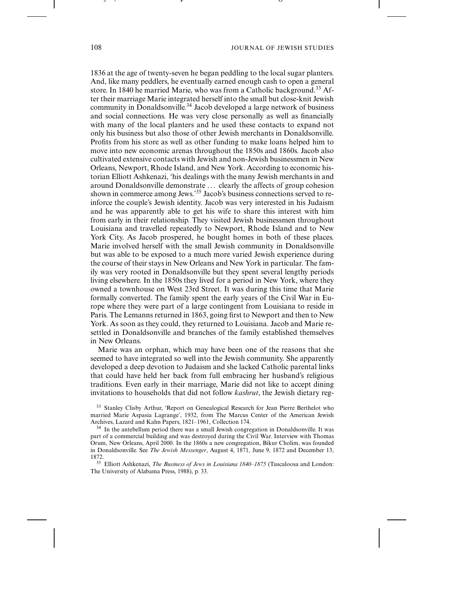- - - - - - - - - - - - -

-

1836 at the age of twenty-seven he began peddling to the local sugar planters. And, like many peddlers, he eventually earned enough cash to open a general store. In 1840 he married Marie, who was from a Catholic background.<sup>33</sup> After their marriage Marie integrated herself into the small but close-knit Jewish community in Donaldsonville.<sup>34</sup> Jacob developed a large network of business and social connections. He was very close personally as well as financially with many of the local planters and he used these contacts to expand not only his business but also those of other Jewish merchants in Donaldsonville. Profits from his store as well as other funding to make loans helped him to move into new economic arenas throughout the 1850s and 1860s. Jacob also cultivated extensive contacts with Jewish and non-Jewish businessmen in New Orleans, Newport, Rhode Island, and New York. According to economic historian Elliott Ashkenazi, 'his dealings with the many Jewish merchants in and around Donaldsonville demonstrate . . . clearly the affects of group cohesion shown in commerce among Jews.'35 Jacob's business connections served to reinforce the couple's Jewish identity. Jacob was very interested in his Judaism and he was apparently able to get his wife to share this interest with him from early in their relationship. They visited Jewish businessmen throughout Louisiana and travelled repeatedly to Newport, Rhode Island and to New York City. As Jacob prospered, he bought homes in both of these places. Marie involved herself with the small Jewish community in Donaldsonville but was able to be exposed to a much more varied Jewish experience during the course of their stays in New Orleans and New York in particular. The family was very rooted in Donaldsonville but they spent several lengthy periods living elsewhere. In the 1850s they lived for a period in New York, where they owned a townhouse on West 23rd Street. It was during this time that Marie formally converted. The family spent the early years of the Civil War in Europe where they were part of a large contingent from Louisiana to reside in Paris. The Lemanns returned in 1863, going first to Newport and then to New York. As soon as they could, they returned to Louisiana. Jacob and Marie resettled in Donaldsonville and branches of the family established themselves in New Orleans.

Marie was an orphan, which may have been one of the reasons that she seemed to have integrated so well into the Jewish community. She apparently developed a deep devotion to Judaism and she lacked Catholic parental links that could have held her back from full embracing her husband's religious traditions. Even early in their marriage, Marie did not like to accept dining invitations to households that did not follow *kashrut*, the Jewish dietary reg-

<sup>35</sup> Elliott Ashkenazi, *The Business of Jews in Louisiana 1840–1875* (Tuscaloosa and London: The University of Alabama Press, 1988), p. 33.

---- , - , - - - - - - - - -

<sup>&</sup>lt;sup>33</sup> Stanley Clisby Arthur, 'Report on Genealogical Research for Jean Pierre Berthelot who married Marie Aspasia Lagrange', 1932, from The Marcus Center of the American Jewish Archives, Lazard and Kahn Papers, 1821–1961, Collection 174.

<sup>&</sup>lt;sup>34</sup> In the antebellum period there was a small Jewish congregation in Donaldsonville. It was part of a commercial building and was destroyed during the Civil War. Interview with Thomas Orum, New Orleans, April 2000. In the 1860s a new congregation, Bikur Cholim, was founded in Donaldsonville. See *The Jewish Messenger*, August 4, 1871, June 9, 1872 and December 13, 1872.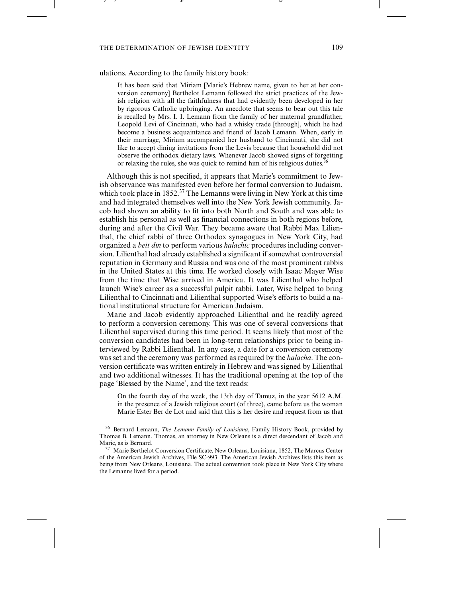the contract of the contract of the contract of the contract of the contract of the contract of the contract of

---- , - , - - - - - - - - -

#### ulations. According to the family history book:

It has been said that Miriam [Marie's Hebrew name, given to her at her conversion ceremony] Berthelot Lemann followed the strict practices of the Jewish religion with all the faithfulness that had evidently been developed in her by rigorous Catholic upbringing. An anecdote that seems to bear out this tale is recalled by Mrs. I. I. Lemann from the family of her maternal grandfather, Leopold Levi of Cincinnati, who had a whisky trade [through], which he had become a business acquaintance and friend of Jacob Lemann. When, early in their marriage, Miriam accompanied her husband to Cincinnati, she did not like to accept dining invitations from the Levis because that household did not observe the orthodox dietary laws. Whenever Jacob showed signs of forgetting or relaxing the rules, she was quick to remind him of his religious duties.

-

- - - - - - - - - - - - -

Although this is not specified, it appears that Marie's commitment to Jewish observance was manifested even before her formal conversion to Judaism, which took place in 1852.<sup>37</sup> The Lemanns were living in New York at this time and had integrated themselves well into the New York Jewish community. Jacob had shown an ability to fit into both North and South and was able to establish his personal as well as financial connections in both regions before, during and after the Civil War. They became aware that Rabbi Max Lilienthal, the chief rabbi of three Orthodox synagogues in New York City, had organized a *beit din* to perform various *halachic* procedures including conversion. Lilienthal had already established a significant if somewhat controversial reputation in Germany and Russia and was one of the most prominent rabbis in the United States at this time. He worked closely with Isaac Mayer Wise from the time that Wise arrived in America. It was Lilienthal who helped launch Wise's career as a successful pulpit rabbi. Later, Wise helped to bring Lilienthal to Cincinnati and Lilienthal supported Wise's efforts to build a national institutional structure for American Judaism.

Marie and Jacob evidently approached Lilienthal and he readily agreed to perform a conversion ceremony. This was one of several conversions that Lilienthal supervised during this time period. It seems likely that most of the conversion candidates had been in long-term relationships prior to being interviewed by Rabbi Lilienthal. In any case, a date for a conversion ceremony was set and the ceremony was performed as required by the *halacha*. The conversion certificate was written entirely in Hebrew and was signed by Lilienthal and two additional witnesses. It has the traditional opening at the top of the page 'Blessed by the Name', and the text reads:

On the fourth day of the week, the 13th day of Tamuz, in the year 5612 A.M. in the presence of a Jewish religious court (of three), came before us the woman Marie Ester Ber de Lot and said that this is her desire and request from us that

<sup>36</sup> Bernard Lemann, *The Lemann Family of Louisiana*, Family History Book, provided by Thomas B. Lemann. Thomas, an attorney in New Orleans is a direct descendant of Jacob and Marie, as is Bernard.

<sup>37</sup> Marie Berthelot Conversion Certificate, New Orleans, Louisiana, 1852, The Marcus Center of the American Jewish Archives, File SC-993. The American Jewish Archives lists this item as being from New Orleans, Louisiana. The actual conversion took place in New York City where the Lemanns lived for a period.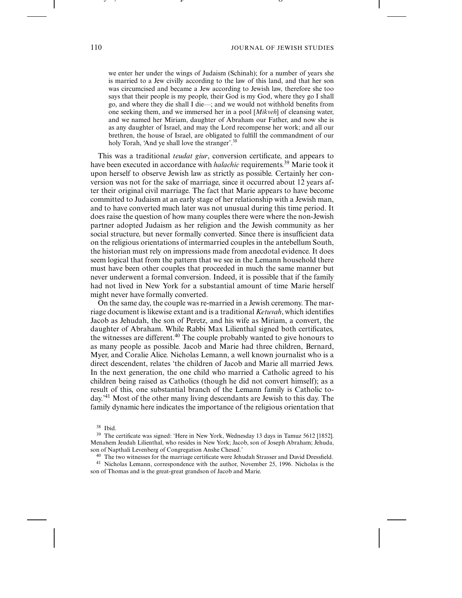- - - - - - - - - - - - - -

we enter her under the wings of Judaism (Schinah); for a number of years she is married to a Jew civilly according to the law of this land, and that her son was circumcised and became a Jew according to Jewish law, therefore she too says that their people is my people, their God is my God, where they go I shall go, and where they die shall I die—; and we would not withhold benefits from one seeking them, and we immersed her in a pool [*Mikveh*] of cleansing water, and we named her Miriam, daughter of Abraham our Father, and now she is as any daughter of Israel, and may the Lord recompense her work; and all our brethren, the house of Israel, are obligated to fulfill the commandment of our holy Torah, 'And ye shall love the stranger'.<sup>38</sup>

-

This was a traditional *teudat giur*, conversion certificate, and appears to have been executed in accordance with *halachic* requirements.39 Marie took it upon herself to observe Jewish law as strictly as possible. Certainly her conversion was not for the sake of marriage, since it occurred about 12 years after their original civil marriage. The fact that Marie appears to have become committed to Judaism at an early stage of her relationship with a Jewish man, and to have converted much later was not unusual during this time period. It does raise the question of how many couples there were where the non-Jewish partner adopted Judaism as her religion and the Jewish community as her social structure, but never formally converted. Since there is insufficient data on the religious orientations of intermarried couples in the antebellum South, the historian must rely on impressions made from anecdotal evidence. It does seem logical that from the pattern that we see in the Lemann household there must have been other couples that proceeded in much the same manner but never underwent a formal conversion. Indeed, it is possible that if the family had not lived in New York for a substantial amount of time Marie herself might never have formally converted.

On the same day, the couple was re-married in a Jewish ceremony. The marriage document is likewise extant and is a traditional *Ketuvah*, which identifies Jacob as Jehudah, the son of Peretz, and his wife as Miriam, a convert, the daughter of Abraham. While Rabbi Max Lilienthal signed both certificates, the witnesses are different.<sup>40</sup> The couple probably wanted to give honours to as many people as possible. Jacob and Marie had three children, Bernard, Myer, and Coralie Alice. Nicholas Lemann, a well known journalist who is a direct descendent, relates 'the children of Jacob and Marie all married Jews. In the next generation, the one child who married a Catholic agreed to his children being raised as Catholics (though he did not convert himself); as a result of this, one substantial branch of the Lemann family is Catholic today.'41 Most of the other many living descendants are Jewish to this day. The family dynamic here indicates the importance of the religious orientation that

<sup>40</sup> The two witnesses for the marriage certificate were Jehudah Strasser and David Dressfield. <sup>41</sup> Nicholas Lemann, correspondence with the author, November 25, 1996. Nicholas is the son of Thomas and is the great-great grandson of Jacob and Marie.

---- , - , - - - - - - - - -

<sup>38</sup> Ibid.

<sup>&</sup>lt;sup>39</sup> The certificate was signed: 'Here in New York, Wednesday 13 days in Tamuz 5612 [1852]. Menahem Jeudah Lilienthal, who resides in New York; Jacob, son of Joseph Abraham; Jehuda, son of Napthali Levenberg of Congregation Anshe Chesed.'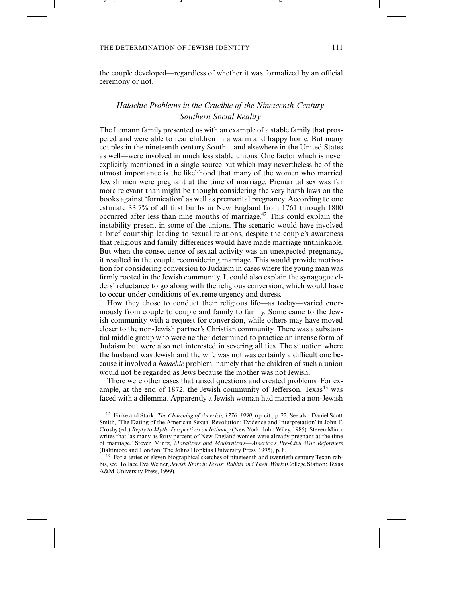the contract of the contract of the contract of the contract of the contract of the contract of the contract of

---- , - , - - - - - - - - -

the couple developed—regardless of whether it was formalized by an official ceremony or not.

-

- - - - - - - - - - - - - -

# *Halachic Problems in the Crucible of the Nineteenth-Century Southern Social Reality*

The Lemann family presented us with an example of a stable family that prospered and were able to rear children in a warm and happy home. But many couples in the nineteenth century South—and elsewhere in the United States as well—were involved in much less stable unions. One factor which is never explicitly mentioned in a single source but which may nevertheless be of the utmost importance is the likelihood that many of the women who married Jewish men were pregnant at the time of marriage. Premarital sex was far more relevant than might be thought considering the very harsh laws on the books against 'fornication' as well as premarital pregnancy. According to one estimate 33.7% of all first births in New England from 1761 through 1800 occurred after less than nine months of marriage.42 This could explain the instability present in some of the unions. The scenario would have involved a brief courtship leading to sexual relations, despite the couple's awareness that religious and family differences would have made marriage unthinkable. But when the consequence of sexual activity was an unexpected pregnancy, it resulted in the couple reconsidering marriage. This would provide motivation for considering conversion to Judaism in cases where the young man was firmly rooted in the Jewish community. It could also explain the synagogue elders' reluctance to go along with the religious conversion, which would have to occur under conditions of extreme urgency and duress.

How they chose to conduct their religious life—as today—varied enormously from couple to couple and family to family. Some came to the Jewish community with a request for conversion, while others may have moved closer to the non-Jewish partner's Christian community. There was a substantial middle group who were neither determined to practice an intense form of Judaism but were also not interested in severing all ties. The situation where the husband was Jewish and the wife was not was certainly a difficult one because it involved a *halachic* problem, namely that the children of such a union would not be regarded as Jews because the mother was not Jewish.

There were other cases that raised questions and created problems. For example, at the end of 1872, the Jewish community of Jefferson, Texas<sup>43</sup> was faced with a dilemma. Apparently a Jewish woman had married a non-Jewish

<sup>43</sup> For a series of eleven biographical sketches of nineteenth and twentieth century Texan rabbis, see Hollace Eva Weiner, *Jewish Stars in Texas: Rabbis and Their Work* (College Station: Texas A&M University Press, 1999).

<sup>42</sup> Finke and Stark, *The Churching of America, 1776–1990*, op. cit., p. 22. See also Daniel Scott Smith, 'The Dating of the American Sexual Revolution: Evidence and Interpretation' in John F. Crosby (ed.) *Reply to Myth: Perspectives on Intimacy* (New York: John Wiley, 1985). Steven Mintz writes that 'as many as forty percent of New England women were already pregnant at the time of marriage.' Steven Mintz, *Moralizers and Modernizers—America's Pre-Civil War Reformers* (Baltimore and London: The Johns Hopkins University Press, 1995), p. 8.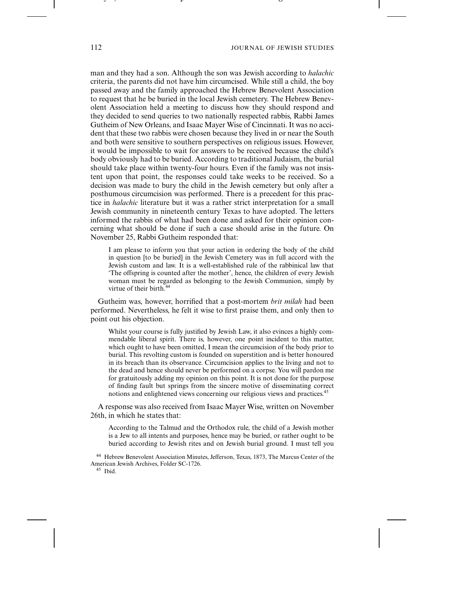- - - - - - - - - - - - - -

man and they had a son. Although the son was Jewish according to *halachic* criteria, the parents did not have him circumcised. While still a child, the boy passed away and the family approached the Hebrew Benevolent Association to request that he be buried in the local Jewish cemetery. The Hebrew Benevolent Association held a meeting to discuss how they should respond and they decided to send queries to two nationally respected rabbis, Rabbi James Gutheim of New Orleans, and Isaac Mayer Wise of Cincinnati. It was no accident that these two rabbis were chosen because they lived in or near the South and both were sensitive to southern perspectives on religious issues. However, it would be impossible to wait for answers to be received because the child's body obviously had to be buried. According to traditional Judaism, the burial should take place within twenty-four hours. Even if the family was not insistent upon that point, the responses could take weeks to be received. So a decision was made to bury the child in the Jewish cemetery but only after a posthumous circumcision was performed. There is a precedent for this practice in *halachic* literature but it was a rather strict interpretation for a small Jewish community in nineteenth century Texas to have adopted. The letters informed the rabbis of what had been done and asked for their opinion concerning what should be done if such a case should arise in the future. On November 25, Rabbi Gutheim responded that:

-

I am please to inform you that your action in ordering the body of the child in question [to be buried] in the Jewish Cemetery was in full accord with the Jewish custom and law. It is a well-established rule of the rabbinical law that 'The offspring is counted after the mother', hence, the children of every Jewish woman must be regarded as belonging to the Jewish Communion, simply by virtue of their birth.<sup>44</sup>

Gutheim was, however, horrified that a post-mortem *brit milah* had been performed. Nevertheless, he felt it wise to first praise them, and only then to point out his objection.

Whilst your course is fully justified by Jewish Law, it also evinces a highly commendable liberal spirit. There is, however, one point incident to this matter, which ought to have been omitted, I mean the circumcision of the body prior to burial. This revolting custom is founded on superstition and is better honoured in its breach than its observance. Circumcision applies to the living and not to the dead and hence should never be performed on a corpse. You will pardon me for gratuitously adding my opinion on this point. It is not done for the purpose of finding fault but springs from the sincere motive of disseminating correct notions and enlightened views concerning our religious views and practices.45

A response was also received from Isaac Mayer Wise, written on November 26th, in which he states that:

According to the Talmud and the Orthodox rule, the child of a Jewish mother is a Jew to all intents and purposes, hence may be buried, or rather ought to be buried according to Jewish rites and on Jewish burial ground. I must tell you

<sup>44</sup> Hebrew Benevolent Association Minutes, Jefferson, Texas, 1873, The Marcus Center of the American Jewish Archives, Folder SC-1726. <sup>45</sup> Ibid.

---- , - , - - - - - - - - -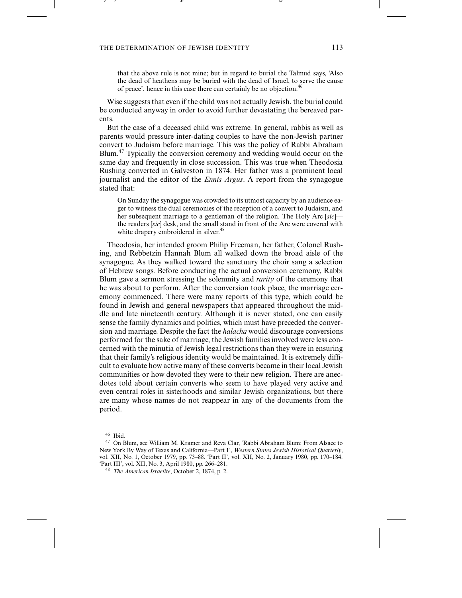the contract of the contract of the contract of the contract of the contract of the contract of the contract of

---- , - , - - - - - - - - -

that the above rule is not mine; but in regard to burial the Talmud says, 'Also the dead of heathens may be buried with the dead of Israel, to serve the cause of peace', hence in this case there can certainly be no objection.<sup>46</sup>

-

- - - - - - - - - - - - - -

Wise suggests that even if the child was not actually Jewish, the burial could be conducted anyway in order to avoid further devastating the bereaved parents.

But the case of a deceased child was extreme. In general, rabbis as well as parents would pressure inter-dating couples to have the non-Jewish partner convert to Judaism before marriage. This was the policy of Rabbi Abraham Blum.<sup>47</sup> Typically the conversion ceremony and wedding would occur on the same day and frequently in close succession. This was true when Theodosia Rushing converted in Galveston in 1874. Her father was a prominent local journalist and the editor of the *Ennis Argus*. A report from the synagogue stated that:

On Sunday the synagogue was crowded to its utmost capacity by an audience eager to witness the dual ceremonies of the reception of a convert to Judaism, and her subsequent marriage to a gentleman of the religion. The Holy Arc [*sic*] the readers [*sic*] desk, and the small stand in front of the Arc were covered with white drapery embroidered in silver.<sup>48</sup>

Theodosia, her intended groom Philip Freeman, her father, Colonel Rushing, and Rebbetzin Hannah Blum all walked down the broad aisle of the synagogue. As they walked toward the sanctuary the choir sang a selection of Hebrew songs. Before conducting the actual conversion ceremony, Rabbi Blum gave a sermon stressing the solemnity and *rarity* of the ceremony that he was about to perform. After the conversion took place, the marriage ceremony commenced. There were many reports of this type, which could be found in Jewish and general newspapers that appeared throughout the middle and late nineteenth century. Although it is never stated, one can easily sense the family dynamics and politics, which must have preceded the conversion and marriage. Despite the fact the *halacha* would discourage conversions performed for the sake of marriage, the Jewish families involved were less concerned with the minutia of Jewish legal restrictions than they were in ensuring that their family's religious identity would be maintained. It is extremely difficult to evaluate how active many of these converts became in their local Jewish communities or how devoted they were to their new religion. There are anecdotes told about certain converts who seem to have played very active and even central roles in sisterhoods and similar Jewish organizations, but there are many whose names do not reappear in any of the documents from the period.

<sup>46</sup> Ibid.

<sup>47</sup> On Blum, see William M. Kramer and Reva Clar, 'Rabbi Abraham Blum: From Alsace to New York By Way of Texas and California—Part 1', *Western States Jewish Historical Quarterly*, vol. XII, No. 1, October 1979, pp. 73–88. 'Part II', vol. XII, No. 2, January 1980, pp. 170–184. 'Part III', vol. XII, No. 3, April 1980, pp. 266–281.

<sup>48</sup> *The American Israelite*, October 2, 1874, p. 2.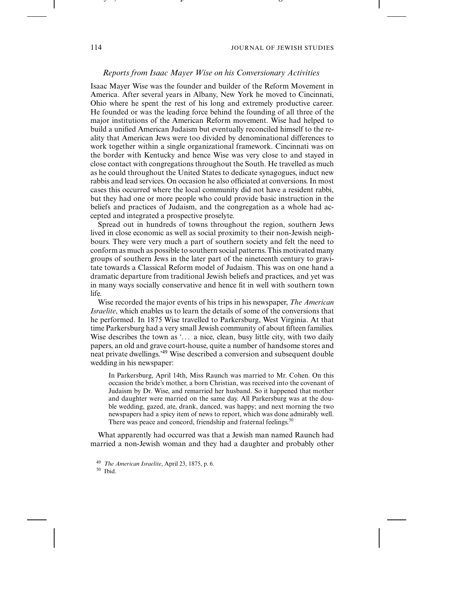-

#### *Reports from Isaac Mayer Wise on his Conversionary Activities*

-

Isaac Mayer Wise was the founder and builder of the Reform Movement in America. After several years in Albany, New York he moved to Cincinnati, Ohio where he spent the rest of his long and extremely productive career. He founded or was the leading force behind the founding of all three of the major institutions of the American Reform movement. Wise had helped to build a unified American Judaism but eventually reconciled himself to the reality that American Jews were too divided by denominational differences to work together within a single organizational framework. Cincinnati was on the border with Kentucky and hence Wise was very close to and stayed in close contact with congregations throughout the South. He travelled as much as he could throughout the United States to dedicate synagogues, induct new rabbis and lead services. On occasion he also officiated at conversions. In most cases this occurred where the local community did not have a resident rabbi, but they had one or more people who could provide basic instruction in the beliefs and practices of Judaism, and the congregation as a whole had accepted and integrated a prospective proselyte.

Spread out in hundreds of towns throughout the region, southern Jews lived in close economic as well as social proximity to their non-Jewish neighbours. They were very much a part of southern society and felt the need to conform as much as possible to southern social patterns. This motivated many groups of southern Jews in the later part of the nineteenth century to gravitate towards a Classical Reform model of Judaism. This was on one hand a dramatic departure from traditional Jewish beliefs and practices, and yet was in many ways socially conservative and hence fit in well with southern town life.

Wise recorded the major events of his trips in his newspaper, *The American Israelite*, which enables us to learn the details of some of the conversions that he performed. In 1875 Wise travelled to Parkersburg, West Virginia. At that time Parkersburg had a very small Jewish community of about fifteen families. Wise describes the town as  $\ldots$  a nice, clean, busy little city, with two daily papers, an old and grave court-house, quite a number of handsome stores and neat private dwellings.'49 Wise described a conversion and subsequent double wedding in his newspaper:

In Parkersburg, April 14th, Miss Raunch was married to Mr. Cohen. On this occasion the bride's mother, a born Christian, was received into the covenant of Judaism by Dr. Wise, and remarried her husband. So it happened that mother and daughter were married on the same day. All Parkersburg was at the double wedding, gazed, ate, drank, danced, was happy; and next morning the two newspapers had a spicy item of news to report, which was done admirably well. There was peace and concord, friendship and fraternal feelings.<sup>5</sup>

What apparently had occurred was that a Jewish man named Raunch had married a non-Jewish woman and they had a daughter and probably other

<sup>50</sup> Ibid.

---- , - , - - - - - - - - -

<sup>49</sup> *The American Israelite*, April 23, 1875, p. 6.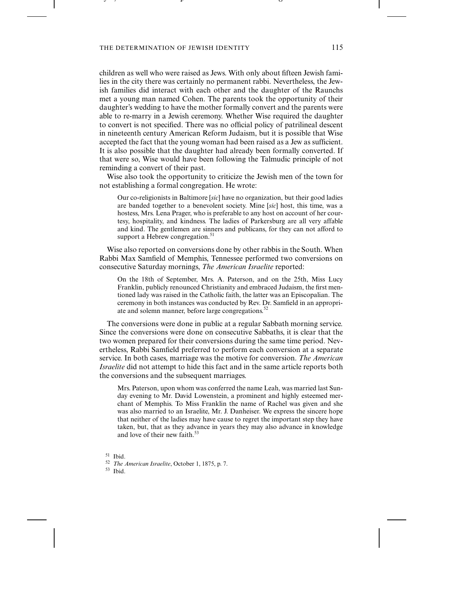the contract of the contract of the contract of the contract of the contract of the contract of the contract of

---- , - , - - - - - - - - -

children as well who were raised as Jews. With only about fifteen Jewish families in the city there was certainly no permanent rabbi. Nevertheless, the Jewish families did interact with each other and the daughter of the Raunchs met a young man named Cohen. The parents took the opportunity of their daughter's wedding to have the mother formally convert and the parents were able to re-marry in a Jewish ceremony. Whether Wise required the daughter to convert is not specified. There was no official policy of patrilineal descent in nineteenth century American Reform Judaism, but it is possible that Wise accepted the fact that the young woman had been raised as a Jew as sufficient. It is also possible that the daughter had already been formally converted. If that were so, Wise would have been following the Talmudic principle of not reminding a convert of their past.

-

- - - - - - - - - - - - - -

Wise also took the opportunity to criticize the Jewish men of the town for not establishing a formal congregation. He wrote:

Our co-religionists in Baltimore [*sic*] have no organization, but their good ladies are banded together to a benevolent society. Mine [*sic*] host, this time, was a hostess, Mrs. Lena Prager, who is preferable to any host on account of her courtesy, hospitality, and kindness. The ladies of Parkersburg are all very affable and kind. The gentlemen are sinners and publicans, for they can not afford to support a Hebrew congregation.<sup>51</sup>

Wise also reported on conversions done by other rabbis in the South. When Rabbi Max Samfield of Memphis, Tennessee performed two conversions on consecutive Saturday mornings, *The American Israelite* reported:

On the 18th of September, Mrs. A. Paterson, and on the 25th, Miss Lucy Franklin, publicly renounced Christianity and embraced Judaism, the first mentioned lady was raised in the Catholic faith, the latter was an Episcopalian. The ceremony in both instances was conducted by Rev. Dr. Samfield in an appropriate and solemn manner, before large congregations.<sup>52</sup>

The conversions were done in public at a regular Sabbath morning service. Since the conversions were done on consecutive Sabbaths, it is clear that the two women prepared for their conversions during the same time period. Nevertheless, Rabbi Samfield preferred to perform each conversion at a separate service. In both cases, marriage was the motive for conversion. *The American Israelite* did not attempt to hide this fact and in the same article reports both the conversions and the subsequent marriages.

Mrs. Paterson, upon whom was conferred the name Leah, was married last Sunday evening to Mr. David Lowenstein, a prominent and highly esteemed merchant of Memphis. To Miss Franklin the name of Rachel was given and she was also married to an Israelite, Mr. J. Danheiser. We express the sincere hope that neither of the ladies may have cause to regret the important step they have taken, but, that as they advance in years they may also advance in knowledge and love of their new faith.<sup>53</sup>

<sup>51</sup> Ibid.

<sup>53</sup> Ibid.

<sup>52</sup> *The American Israelite*, October 1, 1875, p. 7.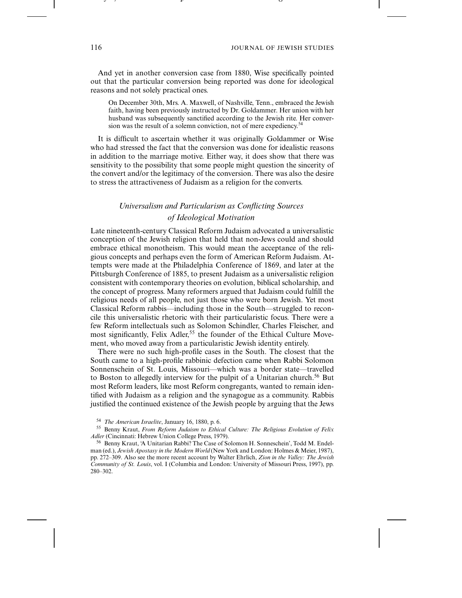- - - - - - - - - - - - - -

And yet in another conversion case from 1880, Wise specifically pointed out that the particular conversion being reported was done for ideological reasons and not solely practical ones.

On December 30th, Mrs. A. Maxwell, of Nashville, Tenn., embraced the Jewish faith, having been previously instructed by Dr. Goldammer. Her union with her husband was subsequently sanctified according to the Jewish rite. Her conversion was the result of a solemn conviction, not of mere expediency.<sup>54</sup>

-

It is difficult to ascertain whether it was originally Goldammer or Wise who had stressed the fact that the conversion was done for idealistic reasons in addition to the marriage motive. Either way, it does show that there was sensitivity to the possibility that some people might question the sincerity of the convert and/or the legitimacy of the conversion. There was also the desire to stress the attractiveness of Judaism as a religion for the converts.

# *Universalism and Particularism as Conflicting Sources of Ideological Motivation*

Late nineteenth-century Classical Reform Judaism advocated a universalistic conception of the Jewish religion that held that non-Jews could and should embrace ethical monotheism. This would mean the acceptance of the religious concepts and perhaps even the form of American Reform Judaism. Attempts were made at the Philadelphia Conference of 1869, and later at the Pittsburgh Conference of 1885, to present Judaism as a universalistic religion consistent with contemporary theories on evolution, biblical scholarship, and the concept of progress. Many reformers argued that Judaism could fulfill the religious needs of all people, not just those who were born Jewish. Yet most Classical Reform rabbis—including those in the South—struggled to reconcile this universalistic rhetoric with their particularistic focus. There were a few Reform intellectuals such as Solomon Schindler, Charles Fleischer, and most significantly, Felix Adler,<sup>55</sup> the founder of the Ethical Culture Movement, who moved away from a particularistic Jewish identity entirely.

There were no such high-profile cases in the South. The closest that the South came to a high-profile rabbinic defection came when Rabbi Solomon Sonnenschein of St. Louis, Missouri—which was a border state—travelled to Boston to allegedly interview for the pulpit of a Unitarian church.<sup>56</sup> But most Reform leaders, like most Reform congregants, wanted to remain identified with Judaism as a religion and the synagogue as a community. Rabbis justified the continued existence of the Jewish people by arguing that the Jews

---- , - , - - - - - - - - -

<sup>54</sup> *The American Israelite*, January 16, 1880, p. 6.

<sup>55</sup> Benny Kraut, *From Reform Judaism to Ethical Culture: The Religious Evolution of Felix Adler* (Cincinnati: Hebrew Union College Press, 1979).

<sup>56</sup> Benny Kraut, 'A Unitarian Rabbi? The Case of Solomon H. Sonneschein', Todd M. Endelman (ed.), *Jewish Apostasy in the Modern World* (New York and London: Holmes & Meier, 1987), pp. 272–309. Also see the more recent account by Walter Ehrlich, *Zion in the Valley: The Jewish Community of St. Louis*, vol. I (Columbia and London: University of Missouri Press, 1997), pp. 280–302.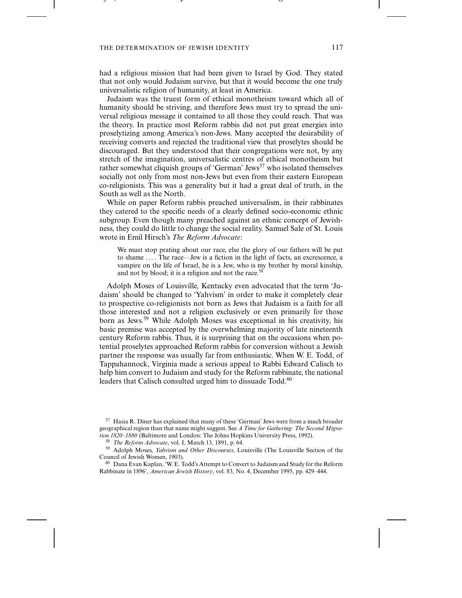the contract of the contract of the contract of the contract of the contract of the contract of the contract of

---- , - , - - - - - - - - -

had a religious mission that had been given to Israel by God. They stated that not only would Judaism survive, but that it would become the one truly universalistic religion of humanity, at least in America.

-

 -

Judaism was the truest form of ethical monotheism toward which all of humanity should be striving, and therefore Jews must try to spread the universal religious message it contained to all those they could reach. That was the theory. In practice most Reform rabbis did not put great energies into proselytizing among America's non-Jews. Many accepted the desirability of receiving converts and rejected the traditional view that proselytes should be discouraged. But they understood that their congregations were not, by any stretch of the imagination, universalistic centres of ethical monotheism but rather somewhat cliquish groups of 'German' Jews<sup>57</sup> who isolated themselves socially not only from most non-Jews but even from their eastern European co-religionists. This was a generality but it had a great deal of truth, in the South as well as the North.

While on paper Reform rabbis preached universalism, in their rabbinates they catered to the specific needs of a clearly defined socio-economic ethnic subgroup. Even though many preached against an ethnic concept of Jewishness, they could do little to change the social reality. Samuel Sale of St. Louis wrote in Emil Hirsch's *The Reform Advocate*:

We must stop prating about our race, else the glory of our fathers will be put to shame .... The race—Jew is a fiction in the light of facts, an excrescence, a vampire on the life of Israel, he is a Jew, who is my brother by moral kinship, and not by blood; it is a religion and not the race.<sup>58</sup>

Adolph Moses of Louisville, Kentucky even advocated that the term 'Judaism' should be changed to 'Yahvism' in order to make it completely clear to prospective co-religionists not born as Jews that Judaism is a faith for all those interested and not a religion exclusively or even primarily for those born as Jews.<sup>59</sup> While Adolph Moses was exceptional in his creativity, his basic premise was accepted by the overwhelming majority of late nineteenth century Reform rabbis. Thus, it is surprising that on the occasions when potential proselytes approached Reform rabbis for conversion without a Jewish partner the response was usually far from enthusiastic. When W. E. Todd, of Tappahannock, Virginia made a serious appeal to Rabbi Edward Calisch to help him convert to Judaism and study for the Reform rabbinate, the national leaders that Calisch consulted urged him to dissuade Todd.<sup>60</sup>

<sup>57</sup> Hasia R. Diner has explained that many of these 'German' Jews were from a much broader geographical region than that name might suggest. See *A Time for Gathering: The Second Migration 1820–1880* (Baltimore and London: The Johns Hopkins University Press, 1992).

<sup>58</sup> *The Reform Advocate*, vol. I, March 13, 1891, p. 64.

<sup>59</sup> Adolph Moses, *Yahvism and Other Discourses*, Louisville (The Louisville Section of the Council of Jewish Women, 1903).

<sup>60</sup> Dana Evan Kaplan, 'W. E. Todd's Attempt to Convert to Judaism and Study for the Reform Rabbinate in 1896', *American Jewish History*, vol. 83, No. 4, December 1995, pp. 429–444.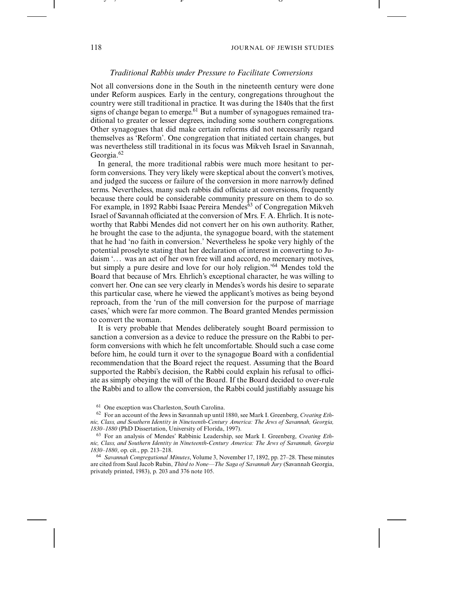- - - - - - - - - - - - -

#### *Traditional Rabbis under Pressure to Facilitate Conversions*

-

Not all conversions done in the South in the nineteenth century were done under Reform auspices. Early in the century, congregations throughout the country were still traditional in practice. It was during the 1840s that the first signs of change began to emerge.<sup>61</sup> But a number of synagogues remained traditional to greater or lesser degrees, including some southern congregations. Other synagogues that did make certain reforms did not necessarily regard themselves as 'Reform'. One congregation that initiated certain changes, but was nevertheless still traditional in its focus was Mikveh Israel in Savannah, Georgia.<sup>62</sup>

In general, the more traditional rabbis were much more hesitant to perform conversions. They very likely were skeptical about the convert's motives, and judged the success or failure of the conversion in more narrowly defined terms. Nevertheless, many such rabbis did officiate at conversions, frequently because there could be considerable community pressure on them to do so. For example, in 1892 Rabbi Isaac Pereira Mendes<sup>63</sup> of Congregation Mikveh Israel of Savannah officiated at the conversion of Mrs. F. A. Ehrlich. It is noteworthy that Rabbi Mendes did not convert her on his own authority. Rather, he brought the case to the adjunta, the synagogue board, with the statement that he had 'no faith in conversion.' Nevertheless he spoke very highly of the potential proselyte stating that her declaration of interest in converting to Judaism '... was an act of her own free will and accord, no mercenary motives, but simply a pure desire and love for our holy religion.'64 Mendes told the Board that because of Mrs. Ehrlich's exceptional character, he was willing to convert her. One can see very clearly in Mendes's words his desire to separate this particular case, where he viewed the applicant's motives as being beyond reproach, from the 'run of the mill conversion for the purpose of marriage cases,' which were far more common. The Board granted Mendes permission to convert the woman.

It is very probable that Mendes deliberately sought Board permission to sanction a conversion as a device to reduce the pressure on the Rabbi to perform conversions with which he felt uncomfortable. Should such a case come before him, he could turn it over to the synagogue Board with a confidential recommendation that the Board reject the request. Assuming that the Board supported the Rabbi's decision, the Rabbi could explain his refusal to officiate as simply obeying the will of the Board. If the Board decided to over-rule the Rabbi and to allow the conversion, the Rabbi could justifiably assuage his

<sup>64</sup> *Savannah Congregational Minutes*, Volume 3, November 17, 1892, pp. 27–28. These minutes are cited from Saul Jacob Rubin, *Third to None—The Saga of Savannah Jury* (Savannah Georgia, privately printed, 1983), p. 203 and 376 note 105.

---- , - , - - - - - - - - -

<sup>61</sup> One exception was Charleston, South Carolina.

<sup>62</sup> For an account of the Jews in Savannah up until 1880, see Mark I. Greenberg, *Creating Ethnic, Class, and Southern Identity in Nineteenth-Century America: The Jews of Savannah, Georgia, 1830–1880* (PhD Dissertation, University of Florida, 1997).

<sup>63</sup> For an analysis of Mendes' Rabbinic Leadership, see Mark I. Greenberg, *Creating Ethnic, Class, and Southern Identity in Nineteenth-Century America: The Jews of Savannah, Georgia 1830–1880*, op. cit., pp. 213–218.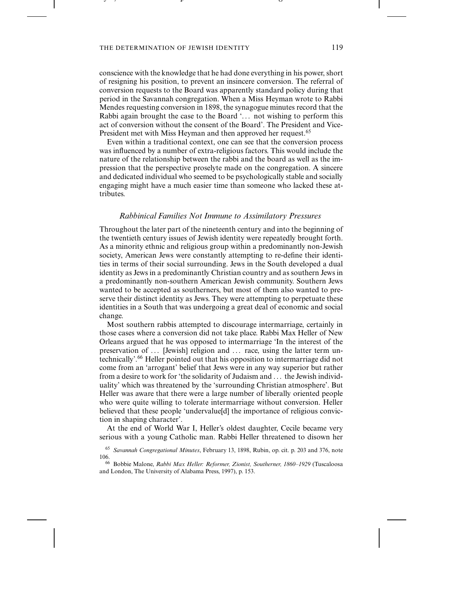the contract of the contract of the contract of the contract of the contract of the contract of the contract of

---- , - , - - - - - - - - -

conscience with the knowledge that he had done everything in his power, short of resigning his position, to prevent an insincere conversion. The referral of conversion requests to the Board was apparently standard policy during that period in the Savannah congregation. When a Miss Heyman wrote to Rabbi Mendes requesting conversion in 1898, the synagogue minutes record that the Rabbi again brought the case to the Board '... not wishing to perform this act of conversion without the consent of the Board'. The President and Vice-President met with Miss Heyman and then approved her request.<sup>65</sup>

-

-

Even within a traditional context, one can see that the conversion process was influenced by a number of extra-religious factors. This would include the nature of the relationship between the rabbi and the board as well as the impression that the perspective proselyte made on the congregation. A sincere and dedicated individual who seemed to be psychologically stable and socially engaging might have a much easier time than someone who lacked these attributes.

# *Rabbinical Families Not Immune to Assimilatory Pressures*

Throughout the later part of the nineteenth century and into the beginning of the twentieth century issues of Jewish identity were repeatedly brought forth. As a minority ethnic and religious group within a predominantly non-Jewish society, American Jews were constantly attempting to re-define their identities in terms of their social surrounding. Jews in the South developed a dual identity as Jews in a predominantly Christian country and as southern Jews in a predominantly non-southern American Jewish community. Southern Jews wanted to be accepted as southerners, but most of them also wanted to preserve their distinct identity as Jews. They were attempting to perpetuate these identities in a South that was undergoing a great deal of economic and social change.

Most southern rabbis attempted to discourage intermarriage, certainly in those cases where a conversion did not take place. Rabbi Max Heller of New Orleans argued that he was opposed to intermarriage 'In the interest of the preservation of ... [Jewish] religion and ... race, using the latter term untechnically'.66 Heller pointed out that his opposition to intermarriage did not come from an 'arrogant' belief that Jews were in any way superior but rather from a desire to work for 'the solidarity of Judaism and . . . the Jewish individuality' which was threatened by the 'surrounding Christian atmosphere'. But Heller was aware that there were a large number of liberally oriented people who were quite willing to tolerate intermarriage without conversion. Heller believed that these people 'undervalue[d] the importance of religious conviction in shaping character'.

At the end of World War I, Heller's oldest daughter, Cecile became very serious with a young Catholic man. Rabbi Heller threatened to disown her

<sup>65</sup> *Savannah Congregational Minutes*, February 13, 1898, Rubin, op. cit. p. 203 and 376, note 106.

<sup>66</sup> Bobbie Malone, *Rabbi Max Heller: Reformer, Zionist, Southerner, 1860–1929* (Tuscaloosa and London, The University of Alabama Press, 1997), p. 153.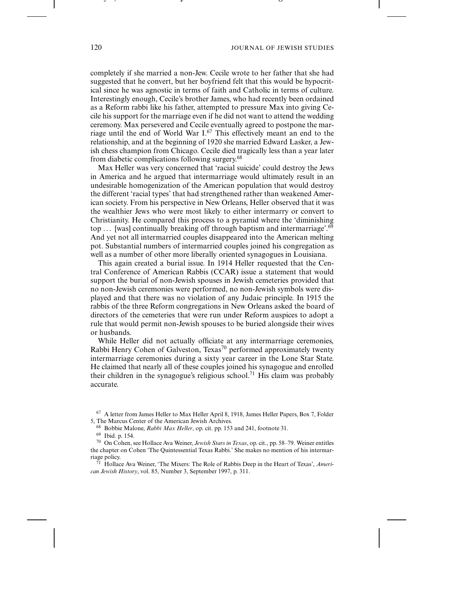-

completely if she married a non-Jew. Cecile wrote to her father that she had suggested that he convert, but her boyfriend felt that this would be hypocritical since he was agnostic in terms of faith and Catholic in terms of culture. Interestingly enough, Cecile's brother James, who had recently been ordained as a Reform rabbi like his father, attempted to pressure Max into giving Cecile his support for the marriage even if he did not want to attend the wedding ceremony. Max persevered and Cecile eventually agreed to postpone the marriage until the end of World War I.<sup>67</sup> This effectively meant an end to the relationship, and at the beginning of 1920 she married Edward Lasker, a Jewish chess champion from Chicago. Cecile died tragically less than a year later from diabetic complications following surgery.<sup>68</sup>

-

Max Heller was very concerned that 'racial suicide' could destroy the Jews in America and he argued that intermarriage would ultimately result in an undesirable homogenization of the American population that would destroy the different 'racial types' that had strengthened rather than weakened American society. From his perspective in New Orleans, Heller observed that it was the wealthier Jews who were most likely to either intermarry or convert to Christianity. He compared this process to a pyramid where the 'diminishing top ... [was] continually breaking off through baptism and intermarriage'. $69$ And yet not all intermarried couples disappeared into the American melting pot. Substantial numbers of intermarried couples joined his congregation as well as a number of other more liberally oriented synagogues in Louisiana.

This again created a burial issue. In 1914 Heller requested that the Central Conference of American Rabbis (CCAR) issue a statement that would support the burial of non-Jewish spouses in Jewish cemeteries provided that no non-Jewish ceremonies were performed, no non-Jewish symbols were displayed and that there was no violation of any Judaic principle. In 1915 the rabbis of the three Reform congregations in New Orleans asked the board of directors of the cemeteries that were run under Reform auspices to adopt a rule that would permit non-Jewish spouses to be buried alongside their wives or husbands.

While Heller did not actually officiate at any intermarriage ceremonies, Rabbi Henry Cohen of Galveston, Texas<sup>70</sup> performed approximately twenty intermarriage ceremonies during a sixty year career in the Lone Star State. He claimed that nearly all of these couples joined his synagogue and enrolled their children in the synagogue's religious school.<sup>71</sup> His claim was probably accurate.

---- , - , - - - - - - - - -

<sup>67</sup> A letter from James Heller to Max Heller April 8, 1918, James Heller Papers, Box 7, Folder 5, The Marcus Center of the American Jewish Archives.

<sup>68</sup> Bobbie Malone, *Rabbi Max Heller*, op. cit. pp. 153 and 241, footnote 31.

<sup>69</sup> Ibid. p. 154.

<sup>70</sup> On Cohen, see Hollace Ava Weiner, *Jewish Stars in Texas*, op. cit., pp. 58–79. Weiner entitles the chapter on Cohen 'The Quintessential Texas Rabbi.' She makes no mention of his intermarriage policy.

<sup>71</sup> Hollace Ava Weiner, 'The Mixers: The Role of Rabbis Deep in the Heart of Texas', *American Jewish History*, vol. 85, Number 3, September 1997, p. 311.